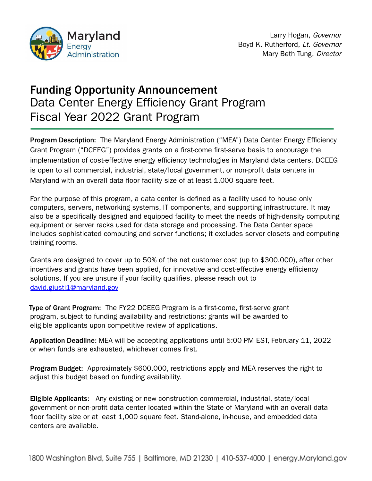

# Funding Opportunity Announcement Data Center Energy Efficiency Grant Program Fiscal Year 2022 Grant Program

Program Description: The Maryland Energy Administration ("MEA") Data Center Energy Efficiency Grant Program ("DCEEG") provides grants on a first-come first-serve basis to encourage the implementation of cost-effective energy efficiency technologies in Maryland data centers. DCEEG is open to all commercial, industrial, state/local government, or non-profit data centers in Maryland with an overall data floor facility size of at least 1,000 square feet.

For the purpose of this program, a data center is defined as a facility used to house only computers, servers, networking systems, IT components, and supporting infrastructure. It may also be a specifically designed and equipped facility to meet the needs of high-density computing equipment or server racks used for data storage and processing. The Data Center space includes sophisticated computing and server functions; it excludes server closets and computing training rooms.

Grants are designed to cover up to 50% of the net customer cost (up to \$300,000), after other incentives and grants have been applied, for innovative and cost-effective energy efficiency solutions. If you are unsure if your facility qualifies, please reach out to [david.giusti1@maryland.gov](mailto:david.giusti1@maryland.gov)

Type of Grant Program: The FY22 DCEEG Program is a first-come, first-serve grant program, subject to funding availability and restrictions; grants will be awarded to eligible applicants upon competitive review of applications.

Application Deadline: MEA will be accepting applications until 5:00 PM EST, February 11, 2022 or when funds are exhausted, whichever comes first.

Program Budget: Approximately \$600,000, restrictions apply and MEA reserves the right to adjust this budget based on funding availability.

Eligible Applicants: Any existing or new construction commercial, industrial, state/local government or non-profit data center located within the State of Maryland with an overall data floor facility size or at least 1,000 square feet. Stand-alone, in-house, and embedded data centers are available.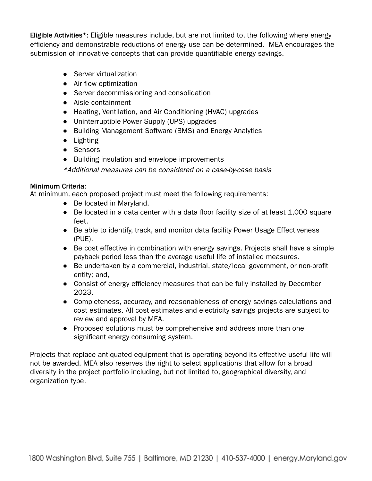Eligible Activities\*: Eligible measures include, but are not limited to, the following where energy efficiency and demonstrable reductions of energy use can be determined. MEA encourages the submission of innovative concepts that can provide quantifiable energy savings.

- Server virtualization
- Air flow optimization
- Server decommissioning and consolidation
- Aisle containment
- Heating, Ventilation, and Air Conditioning (HVAC) upgrades
- Uninterruptible Power Supply (UPS) upgrades
- Building Management Software (BMS) and Energy Analytics
- Lighting
- Sensors
- Building insulation and envelope improvements

\*Additional measures can be considered on <sup>a</sup> case-by-case basis

### Minimum Criteria:

At minimum, each proposed project must meet the following requirements:

- Be located in Maryland.
- Be located in a data center with a data floor facility size of at least 1,000 square feet.
- Be able to identify, track, and monitor data facility Power Usage Effectiveness (PUE).
- Be cost effective in combination with energy savings. Projects shall have a simple payback period less than the average useful life of installed measures.
- Be undertaken by a commercial, industrial, state/local government, or non-profit entity; and,
- Consist of energy efficiency measures that can be fully installed by December 2023.
- Completeness, accuracy, and reasonableness of energy savings calculations and cost estimates. All cost estimates and electricity savings projects are subject to review and approval by MEA.
- Proposed solutions must be comprehensive and address more than one significant energy consuming system.

Projects that replace antiquated equipment that is operating beyond its effective useful life will not be awarded. MEA also reserves the right to select applications that allow for a broad diversity in the project portfolio including, but not limited to, geographical diversity, and organization type.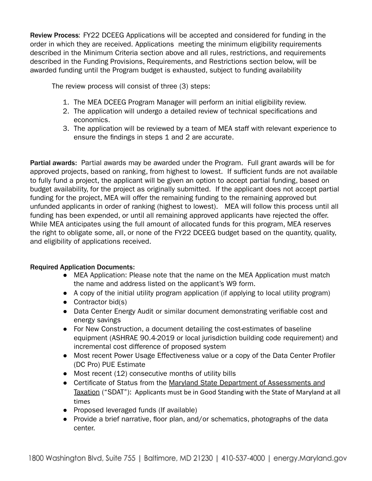Review Process: FY22 DCEEG Applications will be accepted and considered for funding in the order in which they are received. Applications meeting the minimum eligibility requirements described in the Minimum Criteria section above and all rules, restrictions, and requirements described in the Funding Provisions, Requirements, and Restrictions section below, will be awarded funding until the Program budget is exhausted, subject to funding availability

The review process will consist of three (3) steps:

- 1. The MEA DCEEG Program Manager will perform an initial eligibility review.
- 2. The application will undergo a detailed review of technical specifications and economics.
- 3. The application will be reviewed by a team of MEA staff with relevant experience to ensure the findings in steps 1 and 2 are accurate.

Partial awards: Partial awards may be awarded under the Program. Full grant awards will be for approved projects, based on ranking, from highest to lowest. If sufficient funds are not available to fully fund a project, the applicant will be given an option to accept partial funding, based on budget availability, for the project as originally submitted. If the applicant does not accept partial funding for the project, MEA will offer the remaining funding to the remaining approved but unfunded applicants in order of ranking (highest to lowest). MEA will follow this process until all funding has been expended, or until all remaining approved applicants have rejected the offer. While MEA anticipates using the full amount of allocated funds for this program, MEA reserves the right to obligate some, all, or none of the FY22 DCEEG budget based on the quantity, quality, and eligibility of applications received.

## Required Application Documents:

- MEA Application: Please note that the name on the MEA Application must match the name and address listed on the applicant's W9 form.
- A copy of the initial utility program application (if applying to local utility program)
- Contractor bid(s)
- Data Center Energy Audit or similar document demonstrating verifiable cost and energy savings
- For New Construction, a document detailing the cost-estimates of baseline equipment (ASHRAE 90.4-2019 or local jurisdiction building code requirement) and incremental cost difference of proposed system
- Most recent Power Usage Effectiveness value or a copy of the Data Center Profiler (DC Pro) PUE Estimate
- Most recent (12) consecutive months of utility bills
- Certificate of Status from the Maryland State Department of [Assessments](http://dat.maryland.gov/businesses/Pages/Internet-Certificate-of-Status.aspx) and [Taxation](http://dat.maryland.gov/businesses/Pages/Internet-Certificate-of-Status.aspx) ("SDAT"): Applicants must be in Good Standing with the State of Maryland at all times
- Proposed leveraged funds (If available)
- Provide a brief narrative, floor plan, and/or schematics, photographs of the data center.